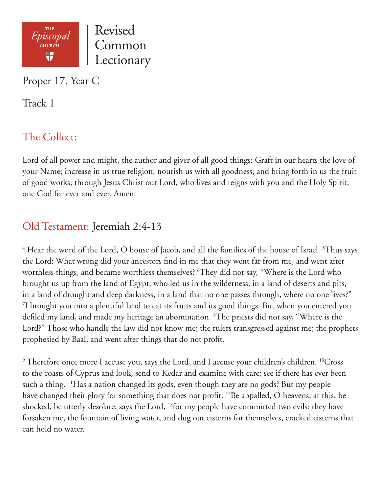

Proper 17, Year C

Track 1

# The Collect:

Lord of all power and might, the author and giver of all good things: Graft in our hearts the love of your Name; increase in us true religion; nourish us with all goodness; and bring forth in us the fruit of good works; through Jesus Christ our Lord, who lives and reigns with you and the Holy Spirit, one God for ever and ever. Amen.

# Old Testament: Jeremiah 2:4-13

 $^4$  Hear the word of the Lord, O house of Jacob, and all the families of the house of Israel.  $^5$ Thus says the Lord: What wrong did your ancestors find in me that they went far from me, and went after worthless things, and became worthless themselves? 6 They did not say, "Where is the Lord who brought us up from the land of Egypt, who led us in the wilderness, in a land of deserts and pits, in a land of drought and deep darkness, in a land that no one passes through, where no one lives?" 7 I brought you into a plentiful land to eat its fruits and its good things. But when you entered you defiled my land, and made my heritage an abomination. 8 The priests did not say, "Where is the Lord?" Those who handle the law did not know me; the rulers transgressed against me; the prophets prophesied by Baal, and went after things that do not profit.

 $9$  Therefore once more I accuse you, says the Lord, and I accuse your children's children.  $^{10}$ Cross to the coasts of Cyprus and look, send to Kedar and examine with care; see if there has ever been such a thing. 11Has a nation changed its gods, even though they are no gods? But my people have changed their glory for something that does not profit. <sup>12</sup>Be appalled, O heavens, at this, be shocked, be utterly desolate, says the Lord, 13for my people have committed two evils: they have forsaken me, the fountain of living water, and dug out cisterns for themselves, cracked cisterns that can hold no water.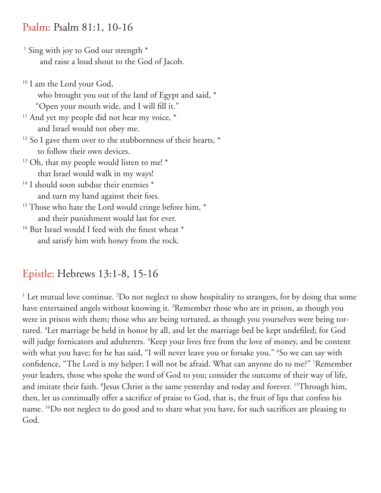#### Psalm: Psalm 81:1, 10-16

- <sup>1</sup> Sing with joy to God our strength \* and raise a loud shout to the God of Jacob.
- <sup>10</sup> I am the Lord your God, who brought you out of the land of Egypt and said, \* "Open your mouth wide, and I will fill it."  $11$  And yet my people did not hear my voice,  $*$ and Israel would not obey me.
- $12$  So I gave them over to the stubbornness of their hearts,  $*$ to follow their own devices.
- $13$  Oh, that my people would listen to me!  $*$ that Israel would walk in my ways!
- <sup>14</sup> I should soon subdue their enemies \* and turn my hand against their foes.
- <sup>15</sup> Those who hate the Lord would cringe before him, \* and their punishment would last for ever.
- <sup>16</sup> But Israel would I feed with the finest wheat \* and satisfy him with honey from the rock.

## Epistle: Hebrews 13:1-8, 15-16

<sup>1</sup> Let mutual love continue. <sup>2</sup>Do not neglect to show hospitality to strangers, for by doing that some have entertained angels without knowing it. <sup>3</sup>Remember those who are in prison, as though you were in prison with them; those who are being tortured, as though you yourselves were being tortured. 4 Let marriage be held in honor by all, and let the marriage bed be kept undefiled; for God will judge fornicators and adulterers. 5 Keep your lives free from the love of money, and be content with what you have; for he has said, "I will never leave you or forsake you." 6 So we can say with confidence, "The Lord is my helper; I will not be afraid. What can anyone do to me?" 7 Remember your leaders, those who spoke the word of God to you; consider the outcome of their way of life, and imitate their faith. <sup>8</sup>Jesus Christ is the same yesterday and today and forever. <sup>15</sup>Through him, then, let us continually offer a sacrifice of praise to God, that is, the fruit of lips that confess his name. 16Do not neglect to do good and to share what you have, for such sacrifices are pleasing to God.